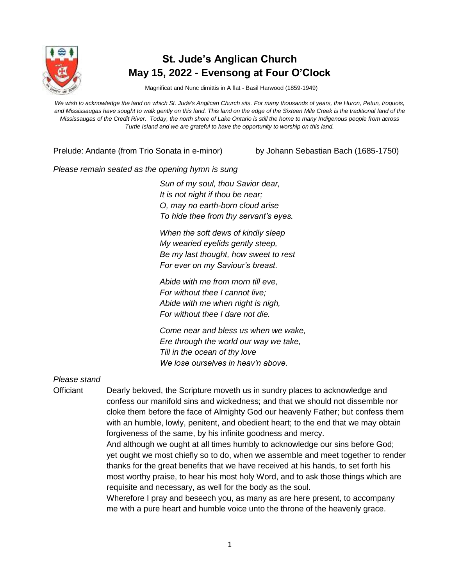

# **St. Jude's Anglican Church May 15, 2022 - Evensong at Four O'Clock**

Magnificat and Nunc dimittis in A flat - Basil Harwood (1859-1949)

*We wish to acknowledge the land on which St. Jude's Anglican Church sits. For many thousands of years, the Huron, Petun, Iroquois,*  and Mississaugas have sought to walk gently on this land. This land on the edge of the Sixteen Mile Creek is the traditional land of the *Mississaugas of the Credit River. Today, the north shore of Lake Ontario is still the home to many Indigenous people from across Turtle Island and we are grateful to have the opportunity to worship on this land.*

Prelude: Andante (from Trio Sonata in e-minor) by Johann Sebastian Bach (1685-1750)

*Please remain seated as the opening hymn is sung*

*Sun of my soul, thou Savior dear, It is not night if thou be near; O, may no earth-born cloud arise To hide thee from thy servant's eyes.*

*When the soft dews of kindly sleep My wearied eyelids gently steep, Be my last thought, how sweet to rest For ever on my Saviour's breast.*

*Abide with me from morn till eve, For without thee I cannot live; Abide with me when night is nigh, For without thee I dare not die.*

*Come near and bless us when we wake, Ere through the world our way we take, Till in the ocean of thy love We lose ourselves in heav'n above.*

#### *Please stand*

Officiant Dearly beloved, the Scripture moveth us in sundry places to acknowledge and confess our manifold sins and wickedness; and that we should not dissemble nor cloke them before the face of Almighty God our heavenly Father; but confess them with an humble, lowly, penitent, and obedient heart; to the end that we may obtain forgiveness of the same, by his infinite goodness and mercy.

> And although we ought at all times humbly to acknowledge our sins before God; yet ought we most chiefly so to do, when we assemble and meet together to render thanks for the great benefits that we have received at his hands, to set forth his most worthy praise, to hear his most holy Word, and to ask those things which are requisite and necessary, as well for the body as the soul.

Wherefore I pray and beseech you, as many as are here present, to accompany me with a pure heart and humble voice unto the throne of the heavenly grace.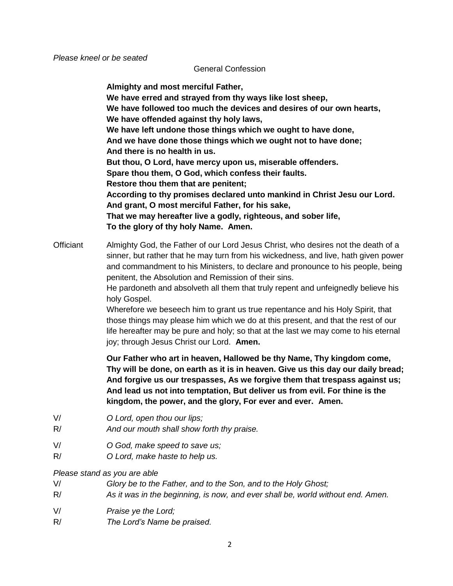#### General Confession

**Almighty and most merciful Father, We have erred and strayed from thy ways like lost sheep, We have followed too much the devices and desires of our own hearts, We have offended against thy holy laws, We have left undone those things which we ought to have done, And we have done those things which we ought not to have done; And there is no health in us. But thou, O Lord, have mercy upon us, miserable offenders. Spare thou them, O God, which confess their faults. Restore thou them that are penitent; According to thy promises declared unto mankind in Christ Jesu our Lord. And grant, O most merciful Father, for his sake, That we may hereafter live a godly, righteous, and sober life, To the glory of thy holy Name. Amen.**

Officiant Almighty God, the Father of our Lord Jesus Christ, who desires not the death of a sinner, but rather that he may turn from his wickedness, and live, hath given power and commandment to his Ministers, to declare and pronounce to his people, being penitent, the Absolution and Remission of their sins.

He pardoneth and absolveth all them that truly repent and unfeignedly believe his holy Gospel.

Wherefore we beseech him to grant us true repentance and his Holy Spirit, that those things may please him which we do at this present, and that the rest of our life hereafter may be pure and holy; so that at the last we may come to his eternal joy; through Jesus Christ our Lord. **Amen.**

**Our Father who art in heaven, Hallowed be thy Name, Thy kingdom come, Thy will be done, on earth as it is in heaven. Give us this day our daily bread; And forgive us our trespasses, As we forgive them that trespass against us; And lead us not into temptation, But deliver us from evil. For thine is the kingdom, the power, and the glory, For ever and ever. Amen.**

- V/ *O Lord, open thou our lips;*
- R/ *And our mouth shall show forth thy praise.*
- V/ *O God, make speed to save us;*
- R/ *O Lord, make haste to help us.*

#### *Please stand as you are able*

- V/ *Glory be to the Father, and to the Son, and to the Holy Ghost;*
- R/ *As it was in the beginning, is now, and ever shall be, world without end. Amen.*
- V/ *Praise ye the Lord;*
- R/ *The Lord's Name be praised.*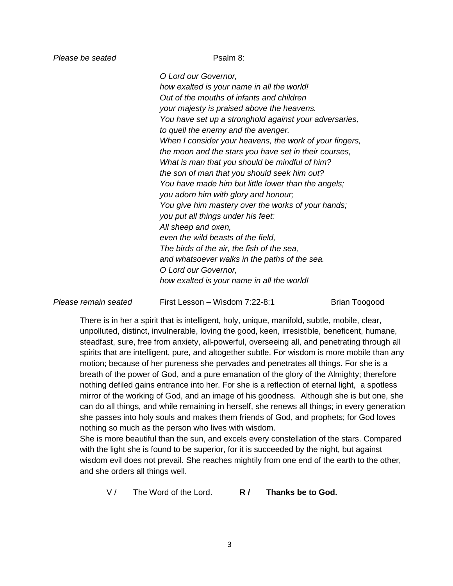*O Lord our Governor, how exalted is your name in all the world! Out of the mouths of infants and children your majesty is praised above the heavens. You have set up a stronghold against your adversaries, to quell the enemy and the avenger. When I consider your heavens, the work of your fingers, the moon and the stars you have set in their courses, What is man that you should be mindful of him? the son of man that you should seek him out? You have made him but little lower than the angels; you adorn him with glory and honour; You give him mastery over the works of your hands; you put all things under his feet: All sheep and oxen, even the wild beasts of the field, The birds of the air, the fish of the sea, and whatsoever walks in the paths of the sea. O Lord our Governor, how exalted is your name in all the world!*

*Please remain seated* First Lesson – Wisdom 7:22-8:1 Brian Toogood

There is in her a spirit that is intelligent, holy, unique, manifold, subtle, mobile, clear, unpolluted, distinct, invulnerable, loving the good, keen, irresistible, beneficent, humane, steadfast, sure, free from anxiety, all-powerful, overseeing all, and penetrating through all spirits that are intelligent, pure, and altogether subtle. For wisdom is more mobile than any motion; because of her pureness she pervades and penetrates all things. For she is a breath of the power of God, and a pure emanation of the glory of the Almighty; therefore nothing defiled gains entrance into her. For she is a reflection of eternal light, a spotless mirror of the working of God, and an image of his goodness. Although she is but one, she can do all things, and while remaining in herself, she renews all things; in every generation she passes into holy souls and makes them friends of God, and prophets; for God loves nothing so much as the person who lives with wisdom.

She is more beautiful than the sun, and excels every constellation of the stars. Compared with the light she is found to be superior, for it is succeeded by the night, but against wisdom evil does not prevail. She reaches mightily from one end of the earth to the other, and she orders all things well.

V / The Word of the Lord. **R / Thanks be to God.**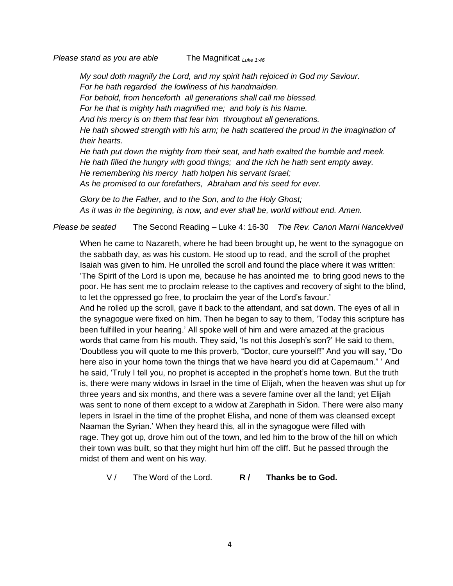*Please stand as you are able* The Magnificat *Luke 1:46*

*My soul doth magnify the Lord, and my spirit hath rejoiced in God my Saviour. For he hath regarded the lowliness of his handmaiden. For behold, from henceforth all generations shall call me blessed. For he that is mighty hath magnified me; and holy is his Name. And his mercy is on them that fear him throughout all generations. He hath showed strength with his arm; he hath scattered the proud in the imagination of their hearts. He hath put down the mighty from their seat, and hath exalted the humble and meek. He hath filled the hungry with good things; and the rich he hath sent empty away. He remembering his mercy hath holpen his servant Israel;*

*As he promised to our forefathers, Abraham and his seed for ever.*

*Glory be to the Father, and to the Son, and to the Holy Ghost; As it was in the beginning, is now, and ever shall be, world without end. Amen.*

*Please be seated* The Second Reading – Luke 4: 16-30 *The Rev. Canon Marni Nancekivell*

When he came to Nazareth, where he had been brought up, he went to the synagogue on the sabbath day, as was his custom. He stood up to read, and the scroll of the prophet Isaiah was given to him. He unrolled the scroll and found the place where it was written: 'The Spirit of the Lord is upon me, because he has anointed me to bring good news to the poor. He has sent me to proclaim release to the captives and recovery of sight to the blind, to let the oppressed go free, to proclaim the year of the Lord's favour.'

And he rolled up the scroll, gave it back to the attendant, and sat down. The eyes of all in the synagogue were fixed on him. Then he began to say to them, 'Today this scripture has been fulfilled in your hearing.' All spoke well of him and were amazed at the gracious words that came from his mouth. They said, 'Is not this Joseph's son?' He said to them, 'Doubtless you will quote to me this proverb, "Doctor, cure yourself!" And you will say, "Do here also in your home town the things that we have heard you did at Capernaum." ' And he said, 'Truly I tell you, no prophet is accepted in the prophet's home town. But the truth is, there were many widows in Israel in the time of Elijah, when the heaven was shut up for three years and six months, and there was a severe famine over all the land; yet Elijah was sent to none of them except to a widow at Zarephath in Sidon. There were also many lepers in Israel in the time of the prophet Elisha, and none of them was cleansed except Naaman the Syrian.' When they heard this, all in the synagogue were filled with rage. They got up, drove him out of the town, and led him to the brow of the hill on which their town was built, so that they might hurl him off the cliff. But he passed through the midst of them and went on his way.

V / The Word of the Lord. **R / Thanks be to God.**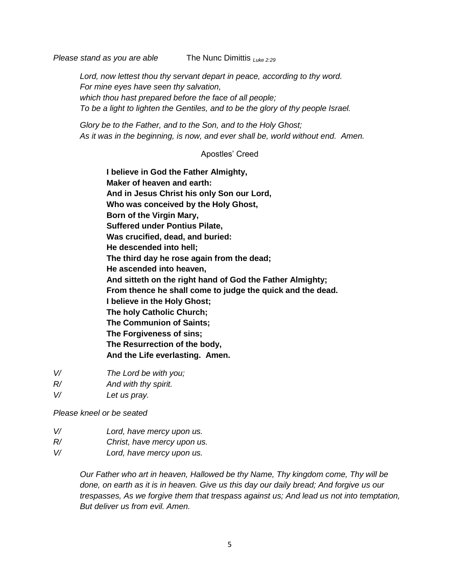*Please stand as you are able* The Nunc Dimittis *Luke 2:29*

*Lord, now lettest thou thy servant depart in peace, according to thy word. For mine eyes have seen thy salvation, which thou hast prepared before the face of all people; To be a light to lighten the Gentiles, and to be the glory of thy people Israel.*

*Glory be to the Father, and to the Son, and to the Holy Ghost; As it was in the beginning, is now, and ever shall be, world without end. Amen.*

## Apostles' Creed

**I believe in God the Father Almighty, Maker of heaven and earth: And in Jesus Christ his only Son our Lord, Who was conceived by the Holy Ghost, Born of the Virgin Mary, Suffered under Pontius Pilate, Was crucified, dead, and buried: He descended into hell; The third day he rose again from the dead; He ascended into heaven, And sitteth on the right hand of God the Father Almighty; From thence he shall come to judge the quick and the dead. I believe in the Holy Ghost; The holy Catholic Church; The Communion of Saints; The Forgiveness of sins; The Resurrection of the body, And the Life everlasting. Amen.**

- *V/ The Lord be with you;*
- *R/ And with thy spirit.*
- *V/ Let us pray.*

*Please kneel or be seated*

- *V/ Lord, have mercy upon us.*
- *R/ Christ, have mercy upon us.*
- *V/ Lord, have mercy upon us.*

*Our Father who art in heaven, Hallowed be thy Name, Thy kingdom come, Thy will be done, on earth as it is in heaven. Give us this day our daily bread; And forgive us our trespasses, As we forgive them that trespass against us; And lead us not into temptation, But deliver us from evil. Amen.*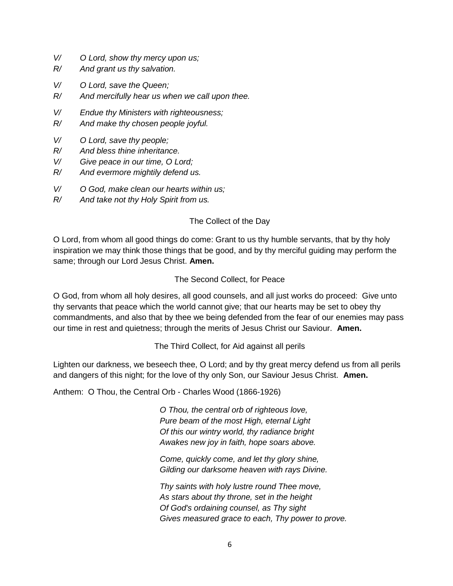- *V/ O Lord, show thy mercy upon us;*
- *R/ And grant us thy salvation.*
- *V/ O Lord, save the Queen;*
- *R/ And mercifully hear us when we call upon thee.*
- *V/ Endue thy Ministers with righteousness;*
- *R/ And make thy chosen people joyful.*
- *V/ O Lord, save thy people;*
- *R/ And bless thine inheritance.*
- *V/ Give peace in our time, O Lord;*
- *R/ And evermore mightily defend us.*
- *V/ O God, make clean our hearts within us;*
- *R/ And take not thy Holy Spirit from us.*

## The Collect of the Day

O Lord, from whom all good things do come: Grant to us thy humble servants, that by thy holy inspiration we may think those things that be good, and by thy merciful guiding may perform the same; through our Lord Jesus Christ. **Amen.**

## The Second Collect, for Peace

O God, from whom all holy desires, all good counsels, and all just works do proceed: Give unto thy servants that peace which the world cannot give; that our hearts may be set to obey thy commandments, and also that by thee we being defended from the fear of our enemies may pass our time in rest and quietness; through the merits of Jesus Christ our Saviour. **Amen.**

The Third Collect, for Aid against all perils

Lighten our darkness, we beseech thee, O Lord; and by thy great mercy defend us from all perils and dangers of this night; for the love of thy only Son, our Saviour Jesus Christ. **Amen.**

Anthem: O Thou, the Central Orb - Charles Wood (1866-1926)

*O Thou, the central orb of righteous love, Pure beam of the most High, eternal Light Of this our wintry world, thy radiance bright Awakes new joy in faith, hope soars above.*

*Come, quickly come, and let thy glory shine, Gilding our darksome heaven with rays Divine.*

*Thy saints with holy lustre round Thee move, As stars about thy throne, set in the height Of God's ordaining counsel, as Thy sight Gives measured grace to each, Thy power to prove.*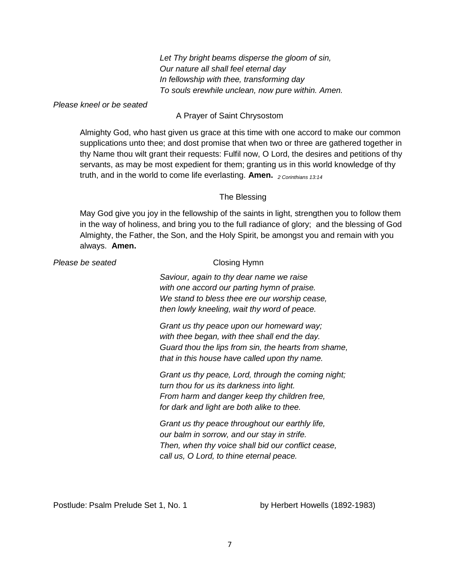*Let Thy bright beams disperse the gloom of sin, Our nature all shall feel eternal day In fellowship with thee, transforming day To souls erewhile unclean, now pure within. Amen.*

*Please kneel or be seated*

#### A Prayer of Saint Chrysostom

Almighty God, who hast given us grace at this time with one accord to make our common supplications unto thee; and dost promise that when two or three are gathered together in thy Name thou wilt grant their requests: Fulfil now, O Lord, the desires and petitions of thy servants, as may be most expedient for them; granting us in this world knowledge of thy truth, and in the world to come life everlasting. **Amen.** *2 Corinthians 13:14*

#### The Blessing

May God give you joy in the fellowship of the saints in light, strengthen you to follow them in the way of holiness, and bring you to the full radiance of glory; and the blessing of God Almighty, the Father, the Son, and the Holy Spirit, be amongst you and remain with you always. **Amen.**

| Please be seated | Closing Hymn                                                                                                                                                                                        |
|------------------|-----------------------------------------------------------------------------------------------------------------------------------------------------------------------------------------------------|
|                  | Saviour, again to thy dear name we raise<br>with one accord our parting hymn of praise.<br>We stand to bless thee ere our worship cease,<br>then lowly kneeling, wait thy word of peace.            |
|                  | Grant us thy peace upon our homeward way;<br>with thee began, with thee shall end the day.<br>Guard thou the lips from sin, the hearts from shame,<br>that in this house have called upon thy name. |
|                  | Grant us thy peace, Lord, through the coming night;<br>turn thou for us its darkness into light.<br>From harm and danger keep thy children free,<br>for dark and light are both alike to thee.      |
|                  | Grant us thy peace throughout our earthly life,<br>our balm in sorrow, and our stay in strife.<br>Then, when thy voice shall bid our conflict cease,<br>call us, O Lord, to thine eternal peace.    |

Postlude: Psalm Prelude Set 1, No. 1 by Herbert Howells (1892-1983)